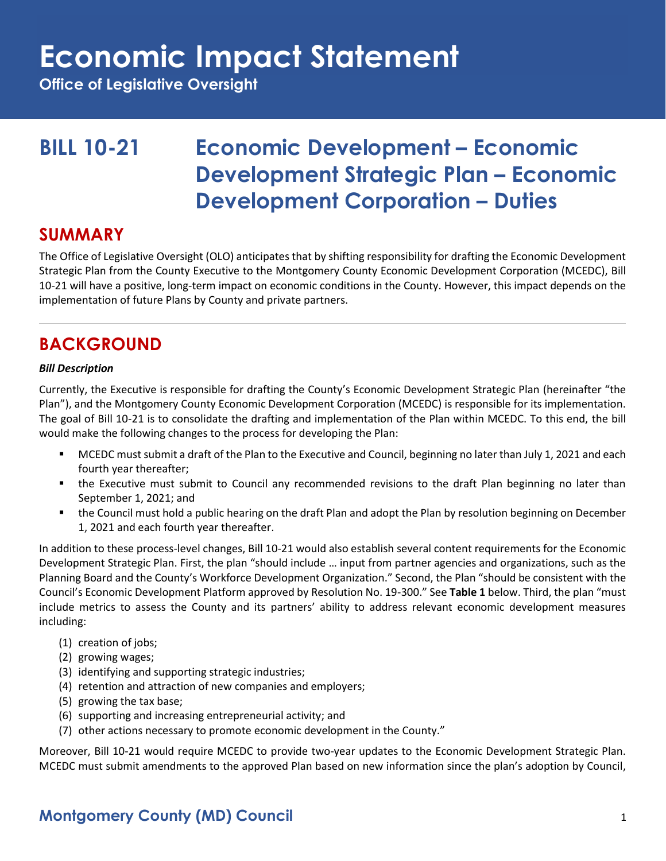**Office of Legislative Oversight**

### **BILL 10-21 Economic Development – Economic Development Strategic Plan – Economic Development Corporation – Duties**

#### **SUMMARY**

The Office of Legislative Oversight (OLO) anticipates that by shifting responsibility for drafting the Economic Development Strategic Plan from the County Executive to the Montgomery County Economic Development Corporation (MCEDC), Bill 10-21 will have a positive, long-term impact on economic conditions in the County. However, this impact depends on the implementation of future Plans by County and private partners.

### **BACKGROUND**

#### *Bill Description*

Currently, the Executive is responsible for drafting the County's Economic Development Strategic Plan (hereinafter "the Plan"), and the Montgomery County Economic Development Corporation (MCEDC) is responsible for its implementation. The goal of Bill 10-21 is to consolidate the drafting and implementation of the Plan within MCEDC. To this end, the bill would make the following changes to the process for developing the Plan:

- MCEDC must submit a draft of the Plan to the Executive and Council, beginning no later than July 1, 2021 and each fourth year thereafter;
- " the Executive must submit to Council any recommended revisions to the draft Plan beginning no later than September 1, 2021; and
- the Council must hold a public hearing on the draft Plan and adopt the Plan by resolution beginning on December 1, 2021 and each fourth year thereafter.

In addition to these process-level changes, Bill 10-21 would also establish several content requirements for the Economic Development Strategic Plan. First, the plan "should include … input from partner agencies and organizations, such as the Planning Board and the County's Workforce Development Organization." Second, the Plan "should be consistent with the Council's Economic Development Platform approved by Resolution No. 19-300." See **Table 1** below. Third, the plan "must include metrics to assess the County and its partners' ability to address relevant economic development measures including:

- (1) creation of jobs;
- (2) growing wages;
- (3) identifying and supporting strategic industries;
- (4) retention and attraction of new companies and employers;
- (5) growing the tax base;
- (6) supporting and increasing entrepreneurial activity; and
- (7) other actions necessary to promote economic development in the County."

Moreover, Bill 10-21 would require MCEDC to provide two-year updates to the Economic Development Strategic Plan. MCEDC must submit amendments to the approved Plan based on new information since the plan's adoption by Council,

### **Montgomery County (MD) Council** 1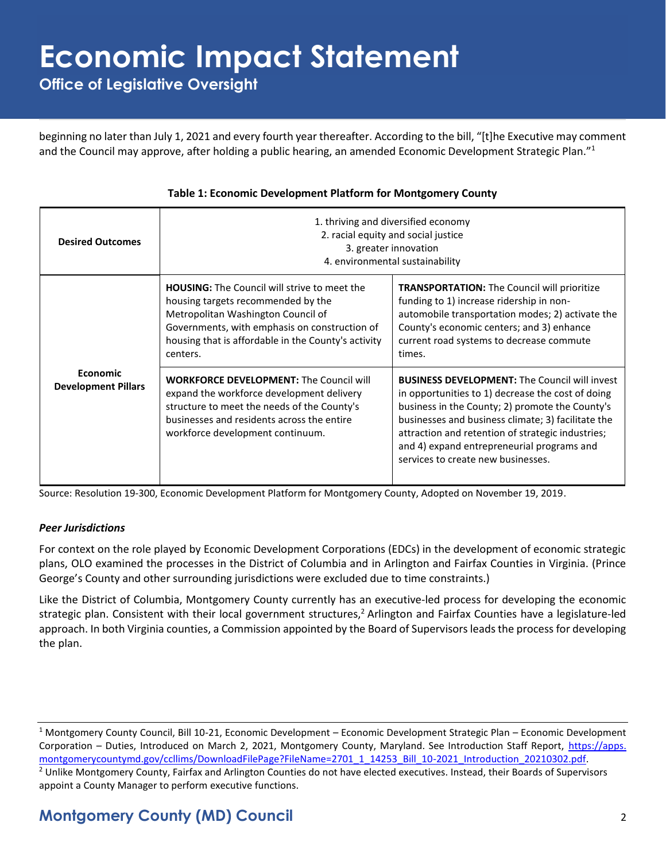**Office of Legislative Oversight**

beginning no later than July 1, 2021 and every fourth year thereafter. According to the bill, "[t]he Executive may comment and the Council may approve, after holding a public hearing, an amended Economic Development Strategic Plan."<sup>1</sup>

| <b>Desired Outcomes</b>                       | 1. thriving and diversified economy<br>2. racial equity and social justice<br>3. greater innovation<br>4. environmental sustainability                                                                                                              |                                                                                                                                                                                                                                                                                                                                                             |  |  |  |
|-----------------------------------------------|-----------------------------------------------------------------------------------------------------------------------------------------------------------------------------------------------------------------------------------------------------|-------------------------------------------------------------------------------------------------------------------------------------------------------------------------------------------------------------------------------------------------------------------------------------------------------------------------------------------------------------|--|--|--|
| <b>Economic</b><br><b>Development Pillars</b> | <b>HOUSING:</b> The Council will strive to meet the<br>housing targets recommended by the<br>Metropolitan Washington Council of<br>Governments, with emphasis on construction of<br>housing that is affordable in the County's activity<br>centers. | <b>TRANSPORTATION:</b> The Council will prioritize<br>funding to 1) increase ridership in non-<br>automobile transportation modes; 2) activate the<br>County's economic centers; and 3) enhance<br>current road systems to decrease commute<br>times.                                                                                                       |  |  |  |
|                                               | <b>WORKFORCE DEVELOPMENT: The Council will</b><br>expand the workforce development delivery<br>structure to meet the needs of the County's<br>businesses and residents across the entire<br>workforce development continuum.                        | <b>BUSINESS DEVELOPMENT:</b> The Council will invest<br>in opportunities to 1) decrease the cost of doing<br>business in the County; 2) promote the County's<br>businesses and business climate; 3) facilitate the<br>attraction and retention of strategic industries;<br>and 4) expand entrepreneurial programs and<br>services to create new businesses. |  |  |  |

#### **Table 1: Economic Development Platform for Montgomery County**

Source: Resolution 19-300, Economic Development Platform for Montgomery County, Adopted on November 19, 2019.

#### *Peer Jurisdictions*

For context on the role played by Economic Development Corporations (EDCs) in the development of economic strategic plans, OLO examined the processes in the District of Columbia and in Arlington and Fairfax Counties in Virginia. (Prince George's County and other surrounding jurisdictions were excluded due to time constraints.)

Like the District of Columbia, Montgomery County currently has an executive-led process for developing the economic strategic plan. Consistent with their local government structures,<sup>2</sup> Arlington and Fairfax Counties have a legislature-led approach. In both Virginia counties, a Commission appointed by the Board of Supervisors leadsthe process for developing the plan.

<sup>1</sup> Montgomery County Council, Bill 10-21, Economic Development – Economic Development Strategic Plan – Economic Development Corporation – Duties, Introduced on March 2, 2021, Montgomery County, Maryland. See Introduction Staff Report, [https://apps.](https://apps.montgomerycountymd.gov/ccllims/DownloadFilePage?FileName=2701_1_14253_Bill_10-2021_Introduction_20210302.pdf) [montgomerycountymd.gov/ccllims/DownloadFilePage?FileName=2701\\_1\\_14253\\_Bill\\_10-2021\\_Introduction\\_20210302.pdf.](https://apps.montgomerycountymd.gov/ccllims/DownloadFilePage?FileName=2701_1_14253_Bill_10-2021_Introduction_20210302.pdf) <sup>2</sup> Unlike Montgomery County, Fairfax and Arlington Counties do not have elected executives. Instead, their Boards of Supervisors appoint a County Manager to perform executive functions.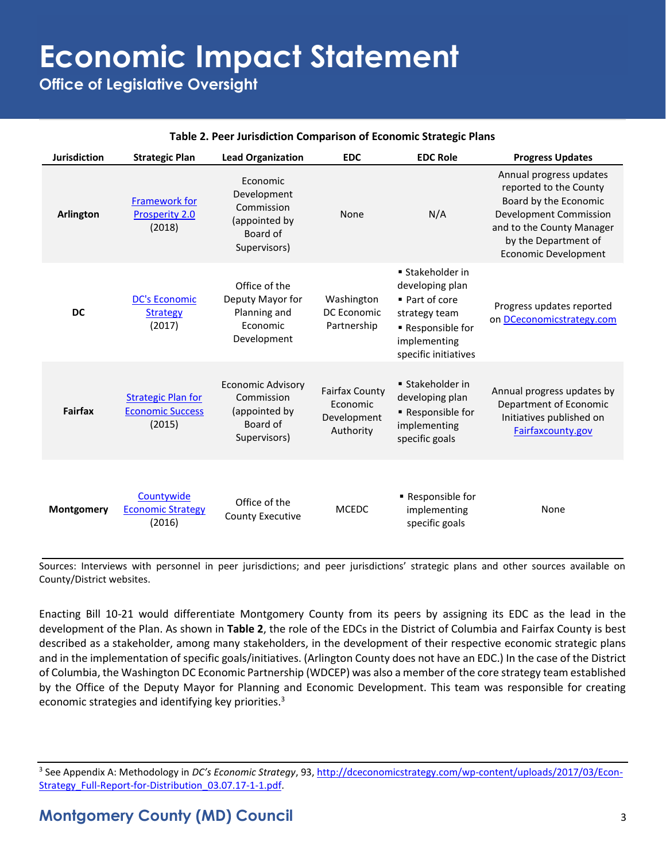**Office of Legislative Oversight**

#### **Table 2. Peer Jurisdiction Comparison of Economic Strategic Plans**

| <b>Jurisdiction</b> | <b>Strategic Plan</b>                                          | <b>Lead Organization</b>                                                            | <b>EDC</b>                                                    | <b>EDC Role</b>                                                                                                                   | <b>Progress Updates</b>                                                                                                                                                                         |
|---------------------|----------------------------------------------------------------|-------------------------------------------------------------------------------------|---------------------------------------------------------------|-----------------------------------------------------------------------------------------------------------------------------------|-------------------------------------------------------------------------------------------------------------------------------------------------------------------------------------------------|
| <b>Arlington</b>    | <b>Framework for</b><br>Prosperity 2.0<br>(2018)               | Economic<br>Development<br>Commission<br>(appointed by<br>Board of<br>Supervisors)  | None                                                          | N/A                                                                                                                               | Annual progress updates<br>reported to the County<br>Board by the Economic<br><b>Development Commission</b><br>and to the County Manager<br>by the Department of<br><b>Economic Development</b> |
| <b>DC</b>           | <b>DC's Economic</b><br><b>Strategy</b><br>(2017)              | Office of the<br>Deputy Mayor for<br>Planning and<br>Economic<br>Development        | Washington<br><b>DC</b> Economic<br>Partnership               | ■ Stakeholder in<br>developing plan<br>■ Part of core<br>strategy team<br>Responsible for<br>implementing<br>specific initiatives | Progress updates reported<br>on DCeconomicstrategy.com                                                                                                                                          |
| <b>Fairfax</b>      | <b>Strategic Plan for</b><br><b>Economic Success</b><br>(2015) | <b>Economic Advisory</b><br>Commission<br>(appointed by<br>Board of<br>Supervisors) | <b>Fairfax County</b><br>Economic<br>Development<br>Authority | ■ Stakeholder in<br>developing plan<br>Responsible for<br>implementing<br>specific goals                                          | Annual progress updates by<br>Department of Economic<br>Initiatives published on<br>Fairfaxcounty.gov                                                                                           |
| Montgomery          | Countywide<br><b>Economic Strategy</b><br>(2016)               | Office of the<br><b>County Executive</b>                                            | <b>MCEDC</b>                                                  | - Responsible for<br>implementing<br>specific goals                                                                               | None                                                                                                                                                                                            |

Sources: Interviews with personnel in peer jurisdictions; and peer jurisdictions' strategic plans and other sources available on County/District websites.

Enacting Bill 10-21 would differentiate Montgomery County from its peers by assigning its EDC as the lead in the development of the Plan. As shown in **Table 2**, the role of the EDCs in the District of Columbia and Fairfax County is best described as a stakeholder, among many stakeholders, in the development of their respective economic strategic plans and in the implementation of specific goals/initiatives. (Arlington County does not have an EDC.) In the case of the District of Columbia, the Washington DC Economic Partnership (WDCEP) was also a member of the core strategy team established by the Office of the Deputy Mayor for Planning and Economic Development. This team was responsible for creating economic strategies and identifying key priorities.<sup>3</sup>

<sup>3</sup> See Appendix A: Methodology in *DC's Economic Strategy*, 93[, http://dceconomicstrategy.com/wp-content/uploads/2017/03/Econ-](http://dceconomicstrategy.com/wp-content/uploads/2017/03/Econ-Strategy_Full-Report-for-Distribution_03.07.17-1-1.pdf)[Strategy\\_Full-Report-for-Distribution\\_03.07.17-1-1.pdf.](http://dceconomicstrategy.com/wp-content/uploads/2017/03/Econ-Strategy_Full-Report-for-Distribution_03.07.17-1-1.pdf)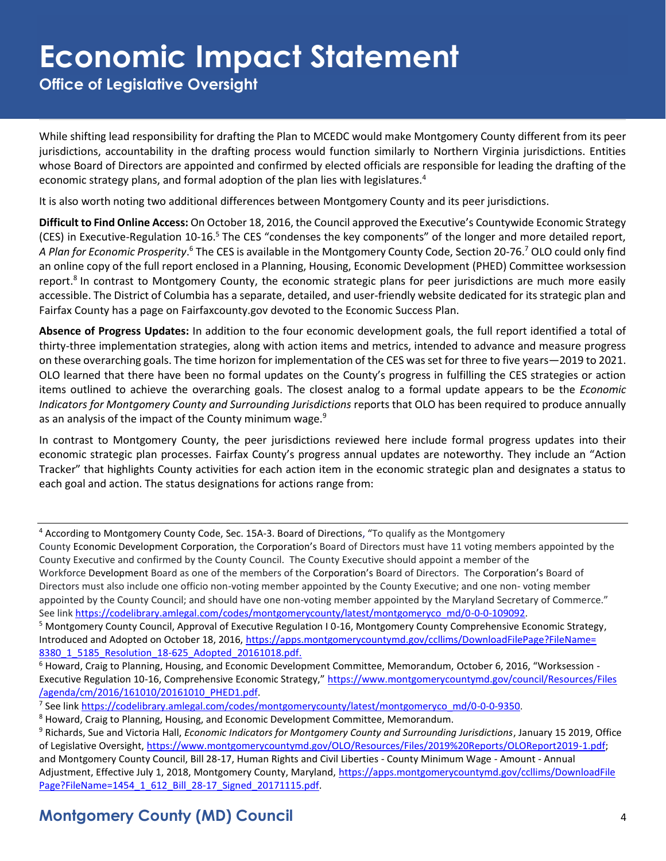**Office of Legislative Oversight**

While shifting lead responsibility for drafting the Plan to MCEDC would make Montgomery County different from its peer jurisdictions, accountability in the drafting process would function similarly to Northern Virginia jurisdictions. Entities whose Board of Directors are appointed and confirmed by elected officials are responsible for leading the drafting of the economic strategy plans, and formal adoption of the plan lies with legislatures.<sup>4</sup>

It is also worth noting two additional differences between Montgomery County and its peer jurisdictions.

**Difficult to Find Online Access:** On October 18, 2016, the Council approved the Executive's Countywide Economic Strategy (CES) in Executive-Regulation 10-16.<sup>5</sup> The CES "condenses the key components" of the longer and more detailed report, A Plan for Economic Prosperity.<sup>6</sup> The CES is available in the Montgomery County Code, Section 20-76.<sup>7</sup> OLO could only find an online copy of the full report enclosed in a Planning, Housing, Economic Development (PHED) Committee worksession report.<sup>8</sup> In contrast to Montgomery County, the economic strategic plans for peer jurisdictions are much more easily accessible. The District of Columbia has a separate, detailed, and user-friendly website dedicated for its strategic plan and Fairfax County has a page on Fairfaxcounty.gov devoted to the Economic Success Plan.

**Absence of Progress Updates:** In addition to the four economic development goals, the full report identified a total of thirty-three implementation strategies, along with action items and metrics, intended to advance and measure progress on these overarching goals. The time horizon for implementation of the CES was set for three to five years—2019 to 2021. OLO learned that there have been no formal updates on the County's progress in fulfilling the CES strategies or action items outlined to achieve the overarching goals. The closest analog to a formal update appears to be the *Economic Indicators for Montgomery County and Surrounding Jurisdictions* reports that OLO has been required to produce annually as an analysis of the impact of the County minimum wage.<sup>9</sup>

In contrast to Montgomery County, the peer jurisdictions reviewed here include formal progress updates into their economic strategic plan processes. Fairfax County's progress annual updates are noteworthy. They include an "Action Tracker" that highlights County activities for each action item in the economic strategic plan and designates a status to each goal and action. The status designations for actions range from:

<sup>4</sup> According to Montgomery County Code, Sec. 15A-3. Board of Directions, "To qualify as the Montgomery County Economic Development Corporation, the Corporation's Board of Directors must have 11 voting members appointed by the County Executive and confirmed by the County Council. The County Executive should appoint a member of the Workforce Development Board as one of the members of the Corporation's Board of Directors. The Corporation's Board of Directors must also include one officio non-voting member appointed by the County Executive; and one non- voting member appointed by the County Council; and should have one non-voting member appointed by the Maryland Secretary of Commerce." See lin[k https://codelibrary.amlegal.com/codes/montgomerycounty/latest/montgomeryco\\_md/0-0-0-109092.](https://codelibrary.amlegal.com/codes/montgomerycounty/latest/montgomeryco_md/0-0-0-109092)

<sup>5</sup> Montgomery County Council, Approval of Executive Regulation I 0-16, Montgomery County Comprehensive Economic Strategy, Introduced and Adopted on October 18, 2016, [https://apps.montgomerycountymd.gov/ccllims/DownloadFilePage?FileName=](https://apps.montgomerycountymd.gov/ccllims/DownloadFilePage?FileName=8380_1_5185_Resolution_18-625_Adopted_20161018.pdf) [8380\\_1\\_5185\\_Resolution\\_18-625\\_Adopted\\_20161018.pdf.](https://apps.montgomerycountymd.gov/ccllims/DownloadFilePage?FileName=8380_1_5185_Resolution_18-625_Adopted_20161018.pdf)

<sup>6</sup> Howard, Craig to Planning, Housing, and Economic Development Committee, Memorandum, October 6, 2016, "Worksession - Executive Regulation 10-16, Comprehensive Economic Strategy," [https://www.montgomerycountymd.gov/council/Resources/Files](https://www.montgomerycountymd.gov/council/Resources/Files/agenda/cm/2016/161010/20161010_PHED1.pdf) [/agenda/cm/2016/161010/20161010\\_PHED1.pdf.](https://www.montgomerycountymd.gov/council/Resources/Files/agenda/cm/2016/161010/20161010_PHED1.pdf)

<sup>7</sup> See link https://codelibrary.amlegal.com/codes/montgomerycounty/latest/montgomeryco\_md/0-0-0-9350.

<sup>8</sup> Howard, Craig to Planning, Housing, and Economic Development Committee, Memorandum.

<sup>9</sup> Richards, Sue and Victoria Hall, *Economic Indicators for Montgomery County and Surrounding Jurisdictions*, January 15 2019, Office of Legislative Oversight, [https://www.montgomerycountymd.gov/OLO/Resources/Files/2019%20Reports/OLOReport2019-1.pdf;](https://www.montgomerycountymd.gov/OLO/Resources/Files/2019%20Reports/OLOReport2019-1.pdf) and Montgomery County Council, Bill 28-17, Human Rights and Civil Liberties - County Minimum Wage - Amount - Annual Adjustment, Effective July 1, 2018, Montgomery County, Maryland, [https://apps.montgomerycountymd.gov/ccllims/DownloadFile](https://apps.montgomerycountymd.gov/ccllims/DownloadFilePage?FileName=1454_1_612_Bill_28-17_Signed_20171115.pdf) [Page?FileName=1454\\_1\\_612\\_Bill\\_28-17\\_Signed\\_20171115.pdf.](https://apps.montgomerycountymd.gov/ccllims/DownloadFilePage?FileName=1454_1_612_Bill_28-17_Signed_20171115.pdf)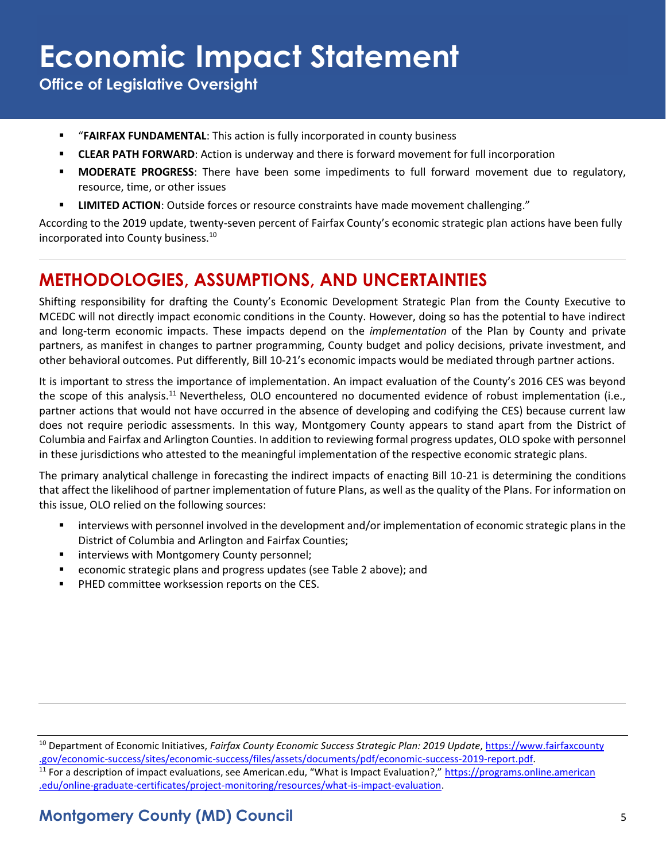**Office of Legislative Oversight**

- "**FAIRFAX FUNDAMENTAL**: This action is fully incorporated in county business
- **EXECTAR PATH FORWARD:** Action is underway and there is forward movement for full incorporation
- **EXECT MODERATE PROGRESS:** There have been some impediments to full forward movement due to regulatory, resource, time, or other issues
- **EXECTION**: Outside forces or resource constraints have made movement challenging."

According to the 2019 update, twenty-seven percent of Fairfax County's economic strategic plan actions have been fully incorporated into County business.<sup>10</sup>

### **METHODOLOGIES, ASSUMPTIONS, AND UNCERTAINTIES**

Shifting responsibility for drafting the County's Economic Development Strategic Plan from the County Executive to MCEDC will not directly impact economic conditions in the County. However, doing so has the potential to have indirect and long-term economic impacts. These impacts depend on the *implementation* of the Plan by County and private partners, as manifest in changes to partner programming, County budget and policy decisions, private investment, and other behavioral outcomes. Put differently, Bill 10-21's economic impacts would be mediated through partner actions.

It is important to stress the importance of implementation. An impact evaluation of the County's 2016 CES was beyond the scope of this analysis.<sup>11</sup> Nevertheless, OLO encountered no documented evidence of robust implementation (i.e., partner actions that would not have occurred in the absence of developing and codifying the CES) because current law does not require periodic assessments. In this way, Montgomery County appears to stand apart from the District of Columbia and Fairfax and Arlington Counties. In addition to reviewing formal progress updates, OLO spoke with personnel in these jurisdictions who attested to the meaningful implementation of the respective economic strategic plans.

The primary analytical challenge in forecasting the indirect impacts of enacting Bill 10-21 is determining the conditions that affect the likelihood of partner implementation of future Plans, as well as the quality of the Plans. For information on this issue, OLO relied on the following sources:

- interviews with personnel involved in the development and/or implementation of economic strategic plans in the District of Columbia and Arlington and Fairfax Counties;
- interviews with Montgomery County personnel;
- economic strategic plans and progress updates (see Table 2 above); and
- PHED committee worksession reports on the CES.

<sup>10</sup> Department of Economic Initiatives, *Fairfax County Economic Success Strategic Plan: 2019 Update*[, https://www.fairfaxcounty](https://www.fairfaxcounty.gov/economic-success/sites/economic-success/files/assets/documents/pdf/economic-success-2019-report.pdf) [.gov/economic-success/sites/economic-success/files/assets/documents/pdf/economic-success-2019-report.pdf.](https://www.fairfaxcounty.gov/economic-success/sites/economic-success/files/assets/documents/pdf/economic-success-2019-report.pdf)

<sup>&</sup>lt;sup>11</sup> For a description of impact evaluations, see American.edu, "What is Impact Evaluation?," [https://programs.online.american](https://programs.online.american.edu/online-graduate-certificates/project-monitoring/resources/what-is-impact-evaluation) [.edu/online-graduate-certificates/project-monitoring/resources/what-is-impact-evaluation.](https://programs.online.american.edu/online-graduate-certificates/project-monitoring/resources/what-is-impact-evaluation)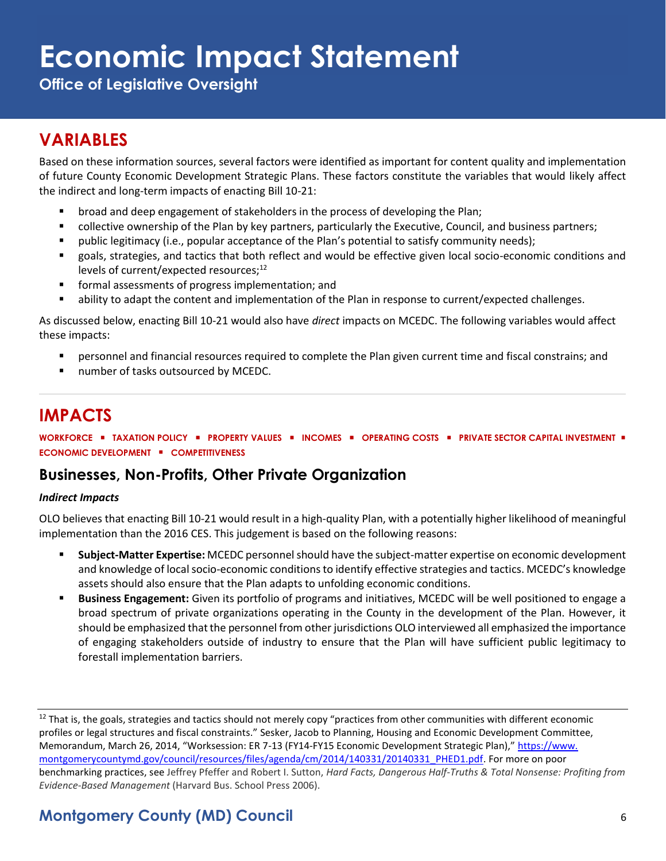**Office of Legislative Oversight**

### **VARIABLES**

Based on these information sources, several factors were identified as important for content quality and implementation of future County Economic Development Strategic Plans. These factors constitute the variables that would likely affect the indirect and long-term impacts of enacting Bill 10-21:

- **■** broad and deep engagement of stakeholders in the process of developing the Plan;
- collective ownership of the Plan by key partners, particularly the Executive, Council, and business partners;
- public legitimacy (i.e., popular acceptance of the Plan's potential to satisfy community needs);
- goals, strategies, and tactics that both reflect and would be effective given local socio-economic conditions and levels of current/expected resources;<sup>12</sup>
- formal assessments of progress implementation; and
- ability to adapt the content and implementation of the Plan in response to current/expected challenges.

As discussed below, enacting Bill 10-21 would also have *direct* impacts on MCEDC. The following variables would affect these impacts:

- personnel and financial resources required to complete the Plan given current time and fiscal constrains; and
- number of tasks outsourced by MCEDC.

### **IMPACTS**

**WORKFORCE** ▪ **TAXATION POLICY** ▪ **PROPERTY VALUES** ▪ **INCOMES** ▪ **OPERATING COSTS** ▪ **PRIVATE SECTOR CAPITAL INVESTMENT** ▪ **ECONOMIC DEVELOPMENT** ▪ **COMPETITIVENESS**

#### **Businesses, Non-Profits, Other Private Organization**

#### *Indirect Impacts*

OLO believes that enacting Bill 10-21 would result in a high-quality Plan, with a potentially higher likelihood of meaningful implementation than the 2016 CES. This judgement is based on the following reasons:

- **Subject-Matter Expertise:** MCEDC personnel should have the subject-matter expertise on economic development and knowledge of local socio-economic conditions to identify effective strategies and tactics. MCEDC's knowledge assets should also ensure that the Plan adapts to unfolding economic conditions.
- **Business Engagement:** Given its portfolio of programs and initiatives, MCEDC will be well positioned to engage a broad spectrum of private organizations operating in the County in the development of the Plan. However, it should be emphasized that the personnel from other jurisdictions OLO interviewed all emphasized the importance of engaging stakeholders outside of industry to ensure that the Plan will have sufficient public legitimacy to forestall implementation barriers.

 $12$  That is, the goals, strategies and tactics should not merely copy "practices from other communities with different economic profiles or legal structures and fiscal constraints." Sesker, Jacob to Planning, Housing and Economic Development Committee, Memorandum, March 26, 2014, "Worksession: ER 7-13 (FY14-FY15 Economic Development Strategic Plan)," [https://www.](https://www.montgomerycountymd.gov/council/resources/files/agenda/cm/2014/140331/20140331_PHED1.pdf) [montgomerycountymd.gov/council/resources/files/agenda/cm/2014/140331/20140331\\_PHED1.pdf.](https://www.montgomerycountymd.gov/council/resources/files/agenda/cm/2014/140331/20140331_PHED1.pdf) For more on poor benchmarking practices, see Jeffrey Pfeffer and Robert I. Sutton, *Hard Facts, Dangerous Half-Truths & Total Nonsense: Profiting from Evidence-Based Management* (Harvard Bus. School Press 2006).

### **Montgomery County (MD) Council** 6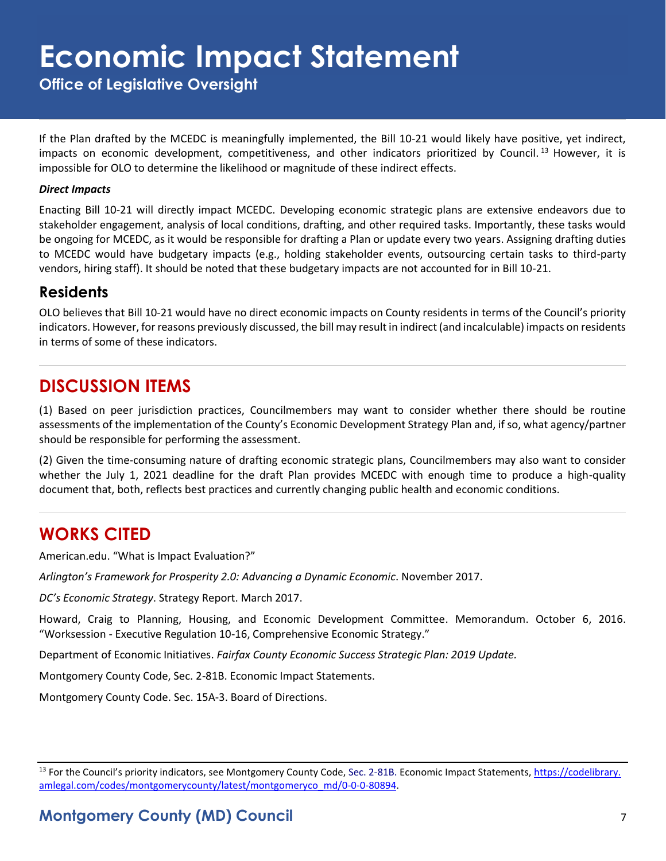**Office of Legislative Oversight**

If the Plan drafted by the MCEDC is meaningfully implemented, the Bill 10-21 would likely have positive, yet indirect, impacts on economic development, competitiveness, and other indicators prioritized by Council.<sup>13</sup> However, it is impossible for OLO to determine the likelihood or magnitude of these indirect effects.

#### *Direct Impacts*

Enacting Bill 10-21 will directly impact MCEDC. Developing economic strategic plans are extensive endeavors due to stakeholder engagement, analysis of local conditions, drafting, and other required tasks. Importantly, these tasks would be ongoing for MCEDC, as it would be responsible for drafting a Plan or update every two years. Assigning drafting duties to MCEDC would have budgetary impacts (e.g., holding stakeholder events, outsourcing certain tasks to third-party vendors, hiring staff). It should be noted that these budgetary impacts are not accounted for in Bill 10-21.

#### **Residents**

OLO believes that Bill 10-21 would have no direct economic impacts on County residents in terms of the Council's priority indicators. However, for reasons previously discussed, the bill may result in indirect (and incalculable) impacts on residents in terms of some of these indicators.

#### **DISCUSSION ITEMS**

(1) Based on peer jurisdiction practices, Councilmembers may want to consider whether there should be routine assessments of the implementation of the County's Economic Development Strategy Plan and, if so, what agency/partner should be responsible for performing the assessment.

(2) Given the time-consuming nature of drafting economic strategic plans, Councilmembers may also want to consider whether the July 1, 2021 deadline for the draft Plan provides MCEDC with enough time to produce a high-quality document that, both, reflects best practices and currently changing public health and economic conditions.

#### **WORKS CITED**

American.edu. "What is Impact Evaluation?"

*Arlington's Framework for Prosperity 2.0: Advancing a Dynamic Economic*. November 2017.

*DC's Economic Strategy*. Strategy Report. March 2017.

Howard, Craig to Planning, Housing, and Economic Development Committee. Memorandum. October 6, 2016. "Worksession - Executive Regulation 10-16, Comprehensive Economic Strategy."

Department of Economic Initiatives. *Fairfax County Economic Success Strategic Plan: 2019 Update.*

Montgomery County Code, Sec. 2-81B. Economic Impact Statements.

Montgomery County Code. Sec. 15A-3. Board of Directions.

<sup>&</sup>lt;sup>13</sup> For the Council's priority indicators, see Montgomery County Code, Sec. 2-81B. Economic Impact Statements, [https://codelibrary.](https://codelibrary.amlegal.com/codes/montgomerycounty/latest/montgomeryco_md/0-0-0-80894) [amlegal.com/codes/montgomerycounty/latest/montgomeryco\\_md/0-0-0-80894.](https://codelibrary.amlegal.com/codes/montgomerycounty/latest/montgomeryco_md/0-0-0-80894)